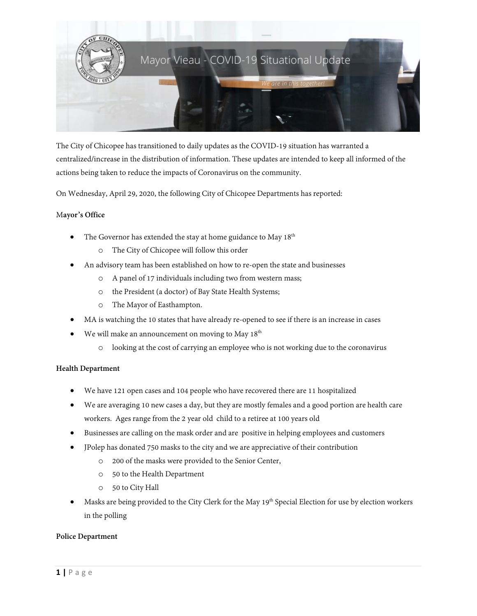

The City of Chicopee has transitioned to daily updates as the COVID-19 situation has warranted a centralized/increase in the distribution of information. These updates are intended to keep all informed of the actions being taken to reduce the impacts of Coronavirus on the community.

On Wednesday, April 29, 2020, the following City of Chicopee Departments has reported:

## M**ayor's Office**

- The Governor has extended the stay at home guidance to May  $18<sup>th</sup>$ 
	- o The City of Chicopee will follow this order
- An advisory team has been established on how to re-open the state and businesses
	- o A panel of 17 individuals including two from western mass;
	- o the President (a doctor) of Bay State Health Systems;
	- o The Mayor of Easthampton.
- MA is watching the 10 states that have already re-opened to see if there is an increase in cases
- We will make an announcement on moving to May  $18<sup>th</sup>$ 
	- o looking at the cost of carrying an employee who is not working due to the coronavirus

#### **Health Department**

- We have 121 open cases and 104 people who have recovered there are 11 hospitalized
- We are averaging 10 new cases a day, but they are mostly females and a good portion are health care workers. Ages range from the 2 year old child to a retiree at 100 years old
- Businesses are calling on the mask order and are positive in helping employees and customers
- JPolep has donated 750 masks to the city and we are appreciative of their contribution
	- o 200 of the masks were provided to the Senior Center,
	- o 50 to the Health Department
	- o 50 to City Hall
- Masks are being provided to the City Clerk for the May 19<sup>th</sup> Special Election for use by election workers in the polling

#### **Police Department**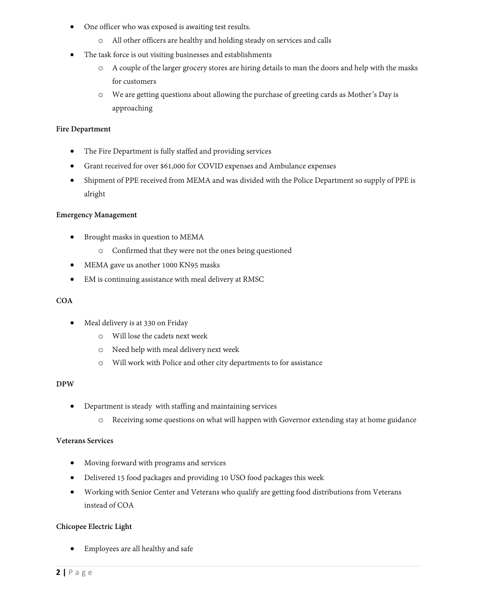- One officer who was exposed is awaiting test results.
	- o All other officers are healthy and holding steady on services and calls
- The task force is out visiting businesses and establishments
	- o A couple of the larger grocery stores are hiring details to man the doors and help with the masks for customers
	- o We are getting questions about allowing the purchase of greeting cards as Mother's Day is approaching

## **Fire Department**

- The Fire Department is fully staffed and providing services
- Grant received for over \$61,000 for COVID expenses and Ambulance expenses
- Shipment of PPE received from MEMA and was divided with the Police Department so supply of PPE is alright

# **Emergency Management**

- Brought masks in question to MEMA
	- o Confirmed that they were not the ones being questioned
- MEMA gave us another 1000 KN95 masks
- EM is continuing assistance with meal delivery at RMSC

# **COA**

- Meal delivery is at 330 on Friday
	- o Will lose the cadets next week
	- o Need help with meal delivery next week
	- o Will work with Police and other city departments to for assistance

## **DPW**

- Department is steady with staffing and maintaining services
	- o Receiving some questions on what will happen with Governor extending stay at home guidance

## **Veterans Services**

- Moving forward with programs and services
- Delivered 15 food packages and providing 10 USO food packages this week
- Working with Senior Center and Veterans who qualify are getting food distributions from Veterans instead of COA

## **Chicopee Electric Light**

• Employees are all healthy and safe